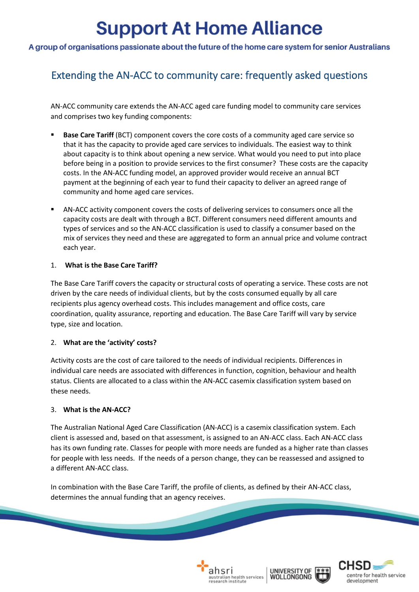# **Support At Home Alliance**

## A group of organisations passionate about the future of the home care system for senior Australians

# Extending the AN-ACC to community care: frequently asked questions

AN-ACC community care extends the AN-ACC aged care funding model to community care services and comprises two key funding components:

- **Base Care Tariff** (BCT) component covers the core costs of a community aged care service so that it has the capacity to provide aged care services to individuals. The easiest way to think about capacity is to think about opening a new service. What would you need to put into place before being in a position to provide services to the first consumer? These costs are the capacity costs. In the AN-ACC funding model, an approved provider would receive an annual BCT payment at the beginning of each year to fund their capacity to deliver an agreed range of community and home aged care services.
- AN-ACC activity component covers the costs of delivering services to consumers once all the capacity costs are dealt with through a BCT. Different consumers need different amounts and types of services and so the AN-ACC classification is used to classify a consumer based on the mix of services they need and these are aggregated to form an annual price and volume contract each year.

### 1. **What is the Base Care Tariff?**

The Base Care Tariff covers the capacity or structural costs of operating a service. These costs are not driven by the care needs of individual clients, but by the costs consumed equally by all care recipients plus agency overhead costs. This includes management and office costs, care coordination, quality assurance, reporting and education. The Base Care Tariff will vary by service type, size and location.

### 2. **What are the 'activity' costs?**

Activity costs are the cost of care tailored to the needs of individual recipients. Differences in individual care needs are associated with differences in function, cognition, behaviour and health status. Clients are allocated to a class within the AN-ACC casemix classification system based on these needs.

#### 3. **What is the AN-ACC?**

The Australian National Aged Care Classification (AN-ACC) is a casemix classification system. Each client is assessed and, based on that assessment, is assigned to an AN-ACC class. Each AN-ACC class has its own funding rate. Classes for people with more needs are funded as a higher rate than classes for people with less needs. If the needs of a person change, they can be reassessed and assigned to a different AN-ACC class.

In combination with the Base Care Tariff, the profile of clients, as defined by their AN-ACC class, determines the annual funding that an agency receives.